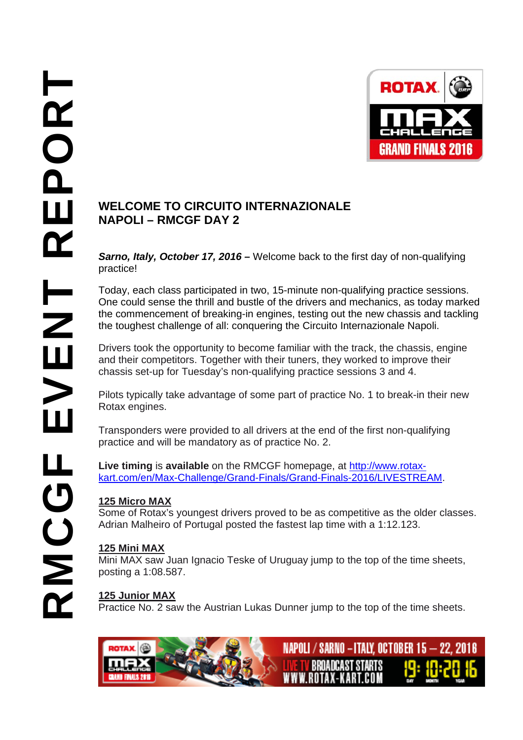

# **NAPOLI – RMCGF DAY 2**

*Sarno, Italy, October 17, 2016 –* Welcome back to the first day of non-qualifying practice!

Today, each class participated in two, 15-minute non-qualifying practice sessions. One could sense the thrill and bustle of the drivers and mechanics, as today marked the commencement of breaking-in engines, testing out the new chassis and tackling the toughest challenge of all: conquering the Circuito Internazionale Napoli.

Drivers took the opportunity to become familiar with the track, the chassis, engine and their competitors. Together with their tuners, they worked to improve their chassis set-up for Tuesday's non-qualifying practice sessions 3 and 4.

Pilots typically take advantage of some part of practice No. 1 to break-in their new Rotax engines.

Transponders were provided to all drivers at the end of the first non-qualifying practice and will be mandatory as of practice No. 2.

**Live timing** is **available** on the RMCGF homepage, at http://www.rotaxkart.com/en/Max-Challenge/Grand-Finals/Grand-Finals-2016/LIVESTREAM.

## **125 Micro MAX**

Some of Rotax's youngest drivers proved to be as competitive as the older classes. Adrian Malheiro of Portugal posted the fastest lap time with a 1:12.123.

## **125 Mini MAX**

Mini MAX saw Juan Ignacio Teske of Uruguay jump to the top of the time sheets, posting a 1:08.587.

## **125 Junior MAX**

Practice No. 2 saw the Austrian Lukas Dunner jump to the top of the time sheets.

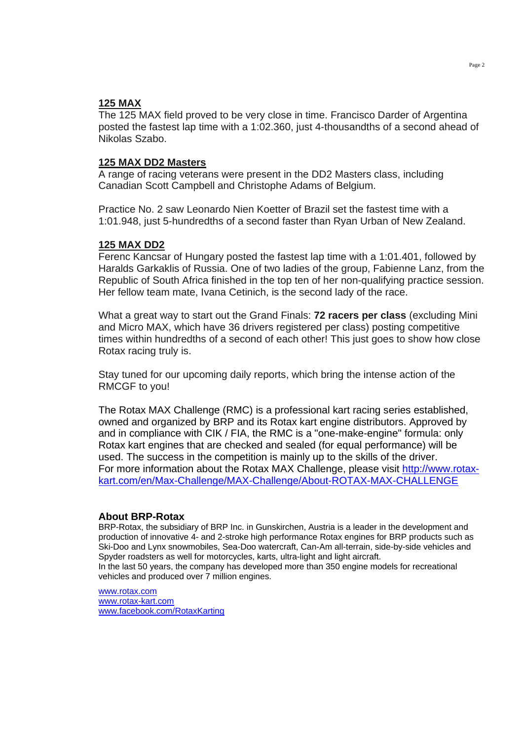### **125 MAX**

The 125 MAX field proved to be very close in time. Francisco Darder of Argentina posted the fastest lap time with a 1:02.360, just 4-thousandths of a second ahead of Nikolas Szabo.

#### **125 MAX DD2 Masters**

A range of racing veterans were present in the DD2 Masters class, including Canadian Scott Campbell and Christophe Adams of Belgium.

Practice No. 2 saw Leonardo Nien Koetter of Brazil set the fastest time with a 1:01.948, just 5-hundredths of a second faster than Ryan Urban of New Zealand.

#### **125 MAX DD2**

Ferenc Kancsar of Hungary posted the fastest lap time with a 1:01.401, followed by Haralds Garkaklis of Russia. One of two ladies of the group, Fabienne Lanz, from the Republic of South Africa finished in the top ten of her non-qualifying practice session. Her fellow team mate, Ivana Cetinich, is the second lady of the race.

What a great way to start out the Grand Finals: **72 racers per class** (excluding Mini and Micro MAX, which have 36 drivers registered per class) posting competitive times within hundredths of a second of each other! This just goes to show how close Rotax racing truly is.

Stay tuned for our upcoming daily reports, which bring the intense action of the RMCGF to you!

The Rotax MAX Challenge (RMC) is a professional kart racing series established, owned and organized by BRP and its Rotax kart engine distributors. Approved by and in compliance with CIK / FIA, the RMC is a "one-make-engine" formula: only Rotax kart engines that are checked and sealed (for equal performance) will be used. The success in the competition is mainly up to the skills of the driver. For more information about the Rotax MAX Challenge, please visit http://www.rotaxkart.com/en/Max-Challenge/MAX-Challenge/About-ROTAX-MAX-CHALLENGE

#### **About BRP-Rotax**

BRP-Rotax, the subsidiary of BRP Inc. in Gunskirchen, Austria is a leader in the development and production of innovative 4- and 2-stroke high performance Rotax engines for BRP products such as Ski-Doo and Lynx snowmobiles, Sea-Doo watercraft, Can-Am all-terrain, side-by-side vehicles and Spyder roadsters as well for motorcycles, karts, ultra-light and light aircraft. In the last 50 years, the company has developed more than 350 engine models for recreational vehicles and produced over 7 million engines.

www.rotax.com www.rotax-kart.com www.facebook.com/RotaxKarting